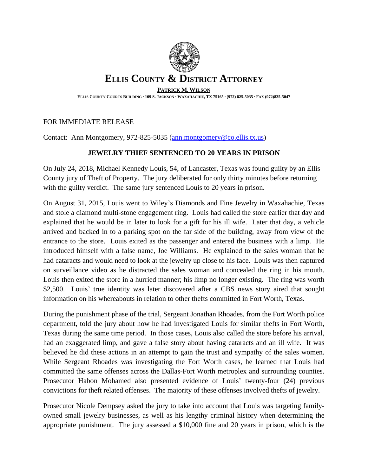

## **ELLIS COUNTY & DISTRICT ATTORNEY**

**PATRICK M. WILSON**

ELLIS COUNTY COURTS BUILDING · 109 S. JACKSON · WAXAHACHIE, TX 75165 · (972) 825-5035 · FAX (972)825-5047

## FOR IMMEDIATE RELEASE

Contact: Ann Montgomery, 972-825-5035 ([ann.montgomery@co.ellis.tx.us](mailto:ann.montgomery@co.ellis.tx.us))

## **JEWELRY THIEF SENTENCED TO 20 YEARS IN PRISON**

On July 24, 2018, Michael Kennedy Louis, 54, of Lancaster, Texas was found guilty by an Ellis County jury of Theft of Property. The jury deliberated for only thirty minutes before returning with the guilty verdict. The same jury sentenced Louis to 20 years in prison.

On August 31, 2015, Louis went to Wiley's Diamonds and Fine Jewelry in Waxahachie, Texas and stole a diamond multi-stone engagement ring. Louis had called the store earlier that day and explained that he would be in later to look for a gift for his ill wife. Later that day, a vehicle arrived and backed in to a parking spot on the far side of the building, away from view of the entrance to the store. Louis exited as the passenger and entered the business with a limp. He introduced himself with a false name, Joe Williams. He explained to the sales woman that he had cataracts and would need to look at the jewelry up close to his face. Louis was then captured on surveillance video as he distracted the sales woman and concealed the ring in his mouth. Louis then exited the store in a hurried manner; his limp no longer existing. The ring was worth \$2,500. Louis' true identity was later discovered after a CBS news story aired that sought information on his whereabouts in relation to other thefts committed in Fort Worth, Texas.

During the punishment phase of the trial, Sergeant Jonathan Rhoades, from the Fort Worth police department, told the jury about how he had investigated Louis for similar thefts in Fort Worth, Texas during the same time period. In those cases, Louis also called the store before his arrival, had an exaggerated limp, and gave a false story about having cataracts and an ill wife. It was believed he did these actions in an attempt to gain the trust and sympathy of the sales women. While Sergeant Rhoades was investigating the Fort Worth cases, he learned that Louis had committed the same offenses across the Dallas-Fort Worth metroplex and surrounding counties. Prosecutor Habon Mohamed also presented evidence of Louis' twenty-four (24) previous convictions for theft related offenses. The majority of these offenses involved thefts of jewelry.

Prosecutor Nicole Dempsey asked the jury to take into account that Louis was targeting familyowned small jewelry businesses, as well as his lengthy criminal history when determining the appropriate punishment. The jury assessed a \$10,000 fine and 20 years in prison, which is the